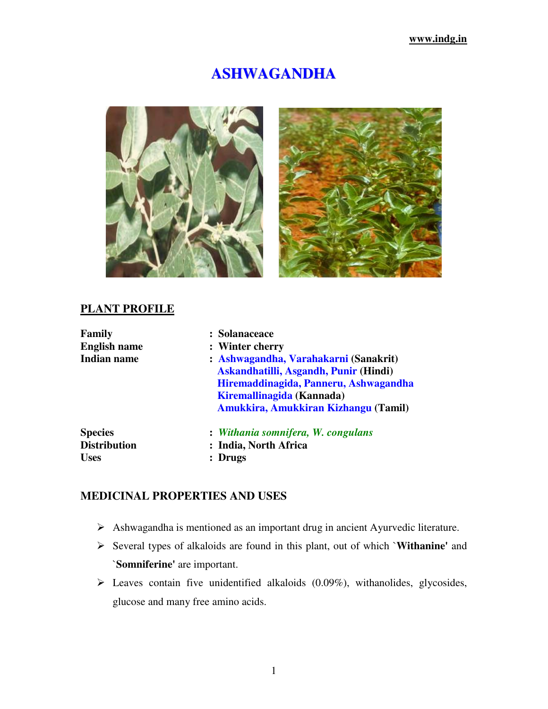# **ASHWAGANDHA**





# **PLANT PROFILE**

| Family              | : Solanaceace                                                                                                                                                                                |  |  |
|---------------------|----------------------------------------------------------------------------------------------------------------------------------------------------------------------------------------------|--|--|
| <b>English name</b> | : Winter cherry                                                                                                                                                                              |  |  |
| Indian name         | : Ashwagandha, Varahakarni (Sanakrit)<br>Askandhatilli, Asgandh, Punir (Hindi)<br>Hiremaddinagida, Panneru, Ashwagandha<br>Kiremallinagida (Kannada)<br>Amukkira, Amukkiran Kizhangu (Tamil) |  |  |
| <b>Species</b>      | : Withania somnifera, W. congulans                                                                                                                                                           |  |  |
| <b>Distribution</b> | : India, North Africa                                                                                                                                                                        |  |  |
| <b>Uses</b>         | <b>Drugs</b>                                                                                                                                                                                 |  |  |

# **MEDICINAL PROPERTIES AND USES**

- Ashwagandha is mentioned as an important drug in ancient Ayurvedic literature.
- Several types of alkaloids are found in this plant, out of which `**Withanine'** and `**Somniferine'** are important.
- $\triangleright$  Leaves contain five unidentified alkaloids (0.09%), withanolides, glycosides, glucose and many free amino acids.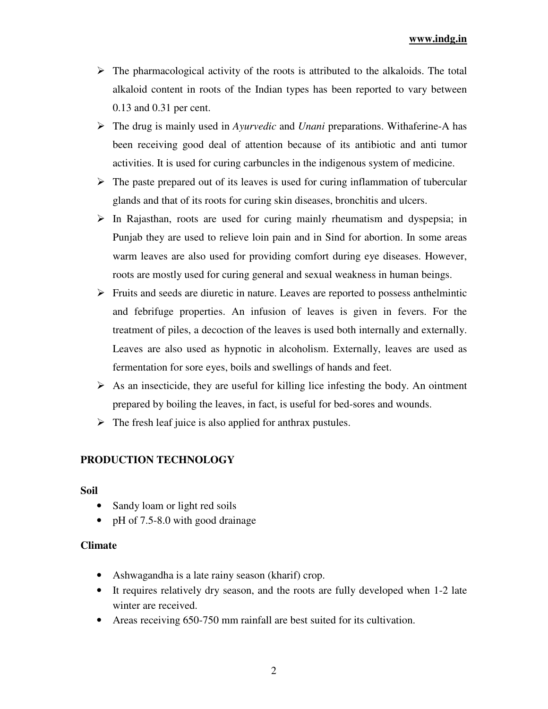#### **www.indg.in**

- $\triangleright$  The pharmacological activity of the roots is attributed to the alkaloids. The total alkaloid content in roots of the Indian types has been reported to vary between 0.13 and 0.31 per cent.
- The drug is mainly used in *Ayurvedic* and *Unani* preparations. Withaferine-A has been receiving good deal of attention because of its antibiotic and anti tumor activities. It is used for curing carbuncles in the indigenous system of medicine.
- $\triangleright$  The paste prepared out of its leaves is used for curing inflammation of tubercular glands and that of its roots for curing skin diseases, bronchitis and ulcers.
- $\triangleright$  In Rajasthan, roots are used for curing mainly rheumatism and dyspepsia; in Punjab they are used to relieve loin pain and in Sind for abortion. In some areas warm leaves are also used for providing comfort during eye diseases. However, roots are mostly used for curing general and sexual weakness in human beings.
- $\triangleright$  Fruits and seeds are diuretic in nature. Leaves are reported to possess anthelmintic and febrifuge properties. An infusion of leaves is given in fevers. For the treatment of piles, a decoction of the leaves is used both internally and externally. Leaves are also used as hypnotic in alcoholism. Externally, leaves are used as fermentation for sore eyes, boils and swellings of hands and feet.
- $\triangleright$  As an insecticide, they are useful for killing lice infesting the body. An ointment prepared by boiling the leaves, in fact, is useful for bed-sores and wounds.
- $\triangleright$  The fresh leaf juice is also applied for anthrax pustules.

#### **PRODUCTION TECHNOLOGY**

#### **Soil**

- Sandy loam or light red soils
- pH of 7.5-8.0 with good drainage

#### **Climate**

- Ashwagandha is a late rainy season (kharif) crop.
- It requires relatively dry season, and the roots are fully developed when 1-2 late winter are received.
- Areas receiving 650-750 mm rainfall are best suited for its cultivation.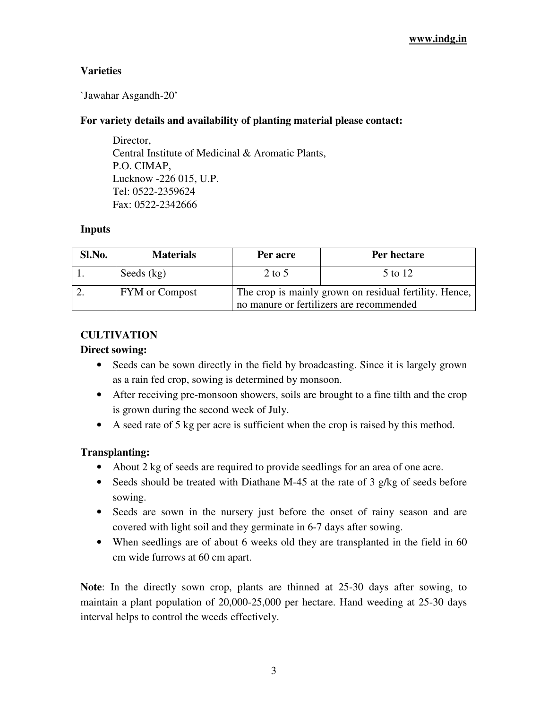# **Varieties**

`Jawahar Asgandh-20'

## **For variety details and availability of planting material please contact:**

Director. Central Institute of Medicinal & Aromatic Plants, P.O. CIMAP, Lucknow -226 015, U.P. Tel: 0522-2359624 Fax: 0522-2342666

#### **Inputs**

| Sl.No. | <b>Materials</b>      | Per acre | Per hectare                                                                                        |
|--------|-----------------------|----------|----------------------------------------------------------------------------------------------------|
|        | Seeds $(kg)$          | $2$ to 5 | 5 to 12                                                                                            |
|        | <b>FYM</b> or Compost |          | The crop is mainly grown on residual fertility. Hence,<br>no manure or fertilizers are recommended |

## **CULTIVATION**

#### **Direct sowing:**

- Seeds can be sown directly in the field by broadcasting. Since it is largely grown as a rain fed crop, sowing is determined by monsoon.
- After receiving pre-monsoon showers, soils are brought to a fine tilth and the crop is grown during the second week of July.
- A seed rate of 5 kg per acre is sufficient when the crop is raised by this method.

# **Transplanting:**

- About 2 kg of seeds are required to provide seedlings for an area of one acre.
- Seeds should be treated with Diathane M-45 at the rate of 3 g/kg of seeds before sowing.
- Seeds are sown in the nursery just before the onset of rainy season and are covered with light soil and they germinate in 6-7 days after sowing.
- When seedlings are of about 6 weeks old they are transplanted in the field in 60 cm wide furrows at 60 cm apart.

**Note**: In the directly sown crop, plants are thinned at 25-30 days after sowing, to maintain a plant population of 20,000-25,000 per hectare. Hand weeding at 25-30 days interval helps to control the weeds effectively.